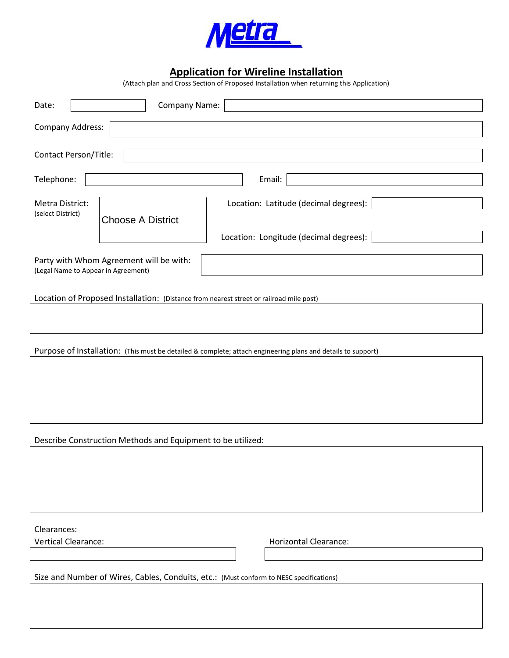

## **Application for Wireline Installation**

(Attach plan and Cross Section of Proposed Installation when returning this Application)

| Company Name:<br>Date:                                                                                       |  |  |  |  |  |  |  |  |
|--------------------------------------------------------------------------------------------------------------|--|--|--|--|--|--|--|--|
| Company Address:                                                                                             |  |  |  |  |  |  |  |  |
|                                                                                                              |  |  |  |  |  |  |  |  |
| <b>Contact Person/Title:</b>                                                                                 |  |  |  |  |  |  |  |  |
|                                                                                                              |  |  |  |  |  |  |  |  |
| Telephone:<br>Email:                                                                                         |  |  |  |  |  |  |  |  |
| Location: Latitude (decimal degrees):<br>Metra District:                                                     |  |  |  |  |  |  |  |  |
| (select District)                                                                                            |  |  |  |  |  |  |  |  |
| <b>Choose A District</b>                                                                                     |  |  |  |  |  |  |  |  |
| Location: Longitude (decimal degrees):                                                                       |  |  |  |  |  |  |  |  |
| Party with Whom Agreement will be with:                                                                      |  |  |  |  |  |  |  |  |
| (Legal Name to Appear in Agreement)                                                                          |  |  |  |  |  |  |  |  |
|                                                                                                              |  |  |  |  |  |  |  |  |
| Location of Proposed Installation: (Distance from nearest street or railroad mile post)                      |  |  |  |  |  |  |  |  |
|                                                                                                              |  |  |  |  |  |  |  |  |
|                                                                                                              |  |  |  |  |  |  |  |  |
|                                                                                                              |  |  |  |  |  |  |  |  |
| Purpose of Installation: (This must be detailed & complete; attach engineering plans and details to support) |  |  |  |  |  |  |  |  |
|                                                                                                              |  |  |  |  |  |  |  |  |
|                                                                                                              |  |  |  |  |  |  |  |  |
|                                                                                                              |  |  |  |  |  |  |  |  |
|                                                                                                              |  |  |  |  |  |  |  |  |
|                                                                                                              |  |  |  |  |  |  |  |  |
| Describe Construction Methods and Equipment to be utilized:                                                  |  |  |  |  |  |  |  |  |
|                                                                                                              |  |  |  |  |  |  |  |  |
|                                                                                                              |  |  |  |  |  |  |  |  |
|                                                                                                              |  |  |  |  |  |  |  |  |
|                                                                                                              |  |  |  |  |  |  |  |  |
|                                                                                                              |  |  |  |  |  |  |  |  |
|                                                                                                              |  |  |  |  |  |  |  |  |
| Clearances:<br><b>Vertical Clearance:</b><br><b>Horizontal Clearance:</b>                                    |  |  |  |  |  |  |  |  |
|                                                                                                              |  |  |  |  |  |  |  |  |
|                                                                                                              |  |  |  |  |  |  |  |  |
| Size and Number of Wires, Cables, Conduits, etc.: (Must conform to NESC specifications)                      |  |  |  |  |  |  |  |  |
|                                                                                                              |  |  |  |  |  |  |  |  |